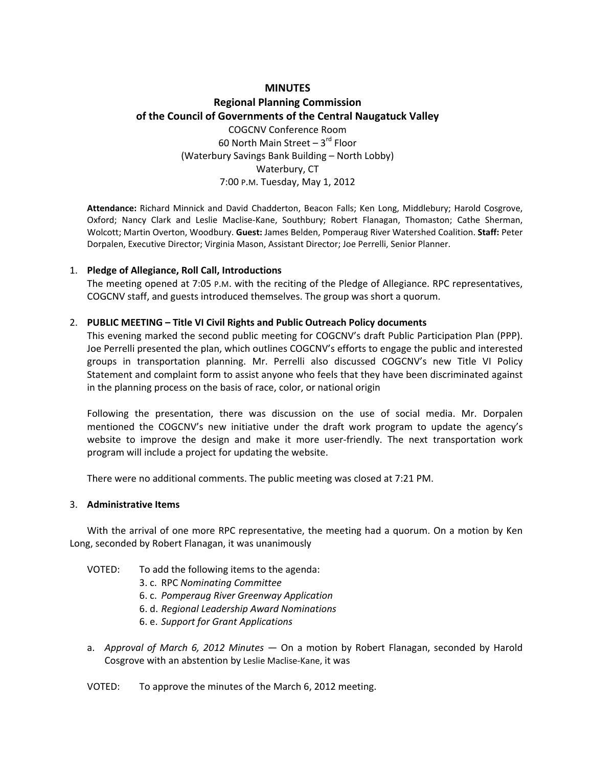### **MINUTES**

# **Regional Planning Commission of the Council of Governments of the Central Naugatuck Valley** COGCNV Conference Room

60 North Main Street  $-3^{rd}$  Floor (Waterbury Savings Bank Building – North Lobby) Waterbury, CT 7:00 P.M. Tuesday, May 1, 2012

**Attendance:** Richard Minnick and David Chadderton, Beacon Falls; Ken Long, Middlebury; Harold Cosgrove, Oxford; Nancy Clark and Leslie Maclise‐Kane, Southbury; Robert Flanagan, Thomaston; Cathe Sherman, Wolcott; Martin Overton, Woodbury. **Guest:** James Belden, Pomperaug River Watershed Coalition. **Staff:** Peter Dorpalen, Executive Director; Virginia Mason, Assistant Director; Joe Perrelli, Senior Planner.

#### 1. **Pledge of Allegiance, Roll Call, Introductions**

The meeting opened at 7:05 P.M. with the reciting of the Pledge of Allegiance. RPC representatives, COGCNV staff, and guests introduced themselves. The group was short a quorum.

#### 2. **PUBLIC MEETING – Title VI Civil Rights and Public Outreach Policy documents**

This evening marked the second public meeting for COGCNV's draft Public Participation Plan (PPP). Joe Perrelli presented the plan, which outlines COGCNV's efforts to engage the public and interested groups in transportation planning. Mr. Perrelli also discussed COGCNV's new Title VI Policy Statement and complaint form to assist anyone who feels that they have been discriminated against in the planning process on the basis of race, color, or national origin

Following the presentation, there was discussion on the use of social media. Mr. Dorpalen mentioned the COGCNV's new initiative under the draft work program to update the agency's website to improve the design and make it more user-friendly. The next transportation work program will include a project for updating the website.

There were no additional comments. The public meeting was closed at 7:21 PM.

#### 3. **Administrative Items**

With the arrival of one more RPC representative, the meeting had a quorum. On a motion by Ken Long, seconded by Robert Flanagan, it was unanimously

- VOTED: To add the following items to the agenda:
	- 3. c. RPC *Nominating Committee*
	- 6. c. *Pomperaug River Greenway Application*
	- 6. d. *Regional Leadership Award Nominations*
	- 6. e. *Support for Grant Applications*
- a. *Approval of March 6, 2012 Minutes* On a motion by Robert Flanagan, seconded by Harold Cosgrove with an abstention by Leslie Maclise‐Kane, it was

#### VOTED: To approve the minutes of the March 6, 2012 meeting.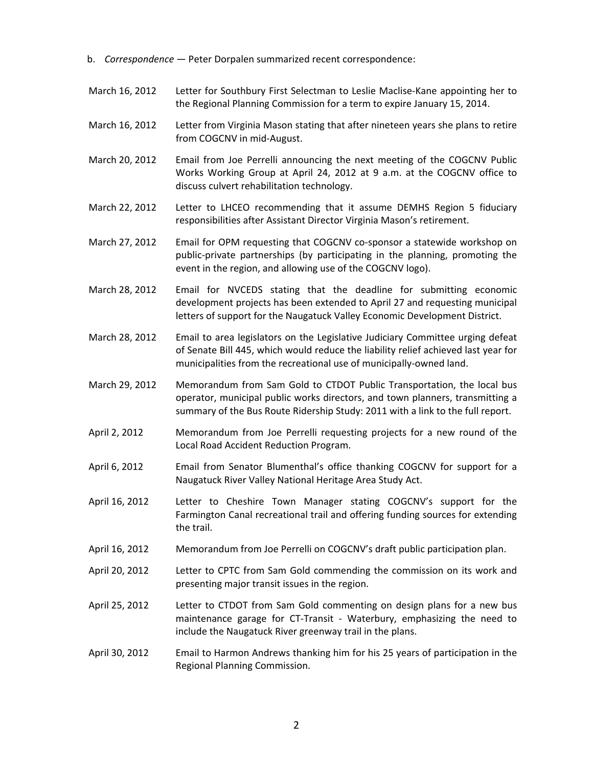- b. *Correspondence* Peter Dorpalen summarized recent correspondence:
- March 16, 2012 Letter for Southbury First Selectman to Leslie Maclise-Kane appointing her to the Regional Planning Commission for a term to expire January 15, 2014.
- March 16, 2012 Letter from Virginia Mason stating that after nineteen years she plans to retire from COGCNV in mid‐August.
- March 20, 2012 Email from Joe Perrelli announcing the next meeting of the COGCNV Public Works Working Group at April 24, 2012 at 9 a.m. at the COGCNV office to discuss culvert rehabilitation technology.
- March 22, 2012 Letter to LHCEO recommending that it assume DEMHS Region 5 fiduciary responsibilities after Assistant Director Virginia Mason's retirement.
- March 27, 2012 Email for OPM requesting that COGCNV co-sponsor a statewide workshop on public‐private partnerships (by participating in the planning, promoting the event in the region, and allowing use of the COGCNV logo).
- March 28, 2012 Email for NVCEDS stating that the deadline for submitting economic development projects has been extended to April 27 and requesting municipal letters of support for the Naugatuck Valley Economic Development District.
- March 28, 2012 Email to area legislators on the Legislative Judiciary Committee urging defeat of Senate Bill 445, which would reduce the liability relief achieved last year for municipalities from the recreational use of municipally‐owned land.
- March 29, 2012 Memorandum from Sam Gold to CTDOT Public Transportation, the local bus operator, municipal public works directors, and town planners, transmitting a summary of the Bus Route Ridership Study: 2011 with a link to the full report.
- April 2, 2012 Memorandum from Joe Perrelli requesting projects for a new round of the Local Road Accident Reduction Program.
- April 6, 2012 Email from Senator Blumenthal's office thanking COGCNV for support for a Naugatuck River Valley National Heritage Area Study Act.
- April 16, 2012 Letter to Cheshire Town Manager stating COGCNV's support for the Farmington Canal recreational trail and offering funding sources for extending the trail.
- April 16, 2012 Memorandum from Joe Perrelli on COGCNV's draft public participation plan.
- April 20, 2012 Letter to CPTC from Sam Gold commending the commission on its work and presenting major transit issues in the region.
- April 25, 2012 Letter to CTDOT from Sam Gold commenting on design plans for a new bus maintenance garage for CT‐Transit ‐ Waterbury, emphasizing the need to include the Naugatuck River greenway trail in the plans.
- April 30, 2012 Email to Harmon Andrews thanking him for his 25 years of participation in the Regional Planning Commission.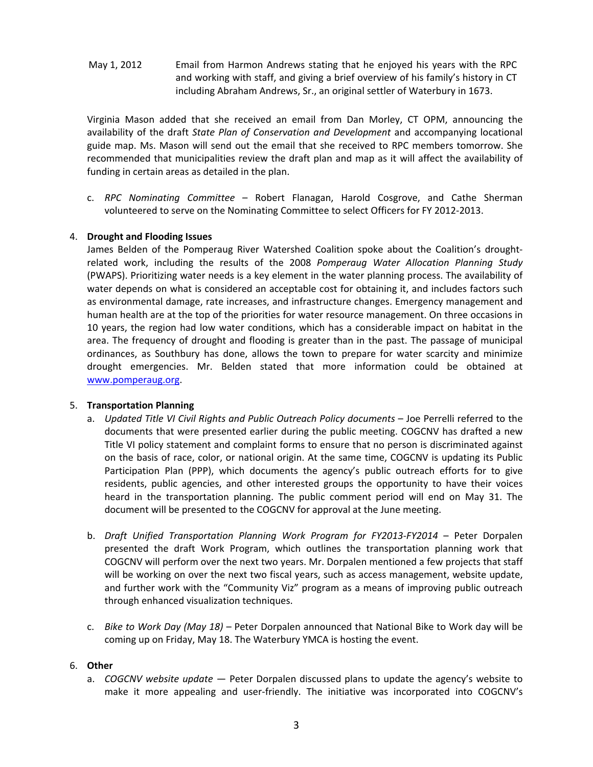May 1, 2012 Email from Harmon Andrews stating that he enjoyed his years with the RPC and working with staff, and giving a brief overview of his family's history in CT including Abraham Andrews, Sr., an original settler of Waterbury in 1673.

Virginia Mason added that she received an email from Dan Morley, CT OPM, announcing the availability of the draft *State Plan of Conservation and Development* and accompanying locational guide map. Ms. Mason will send out the email that she received to RPC members tomorrow. She recommended that municipalities review the draft plan and map as it will affect the availability of funding in certain areas as detailed in the plan.

c. *RPC Nominating Committee* – Robert Flanagan, Harold Cosgrove, and Cathe Sherman volunteered to serve on the Nominating Committee to select Officers for FY 2012‐2013.

#### 4. **Drought and Flooding Issues**

James Belden of the Pomperaug River Watershed Coalition spoke about the Coalition's drought‐ related work, including the results of the 2008 *Pomperaug Water Allocation Planning Study* (PWAPS). Prioritizing water needs is a key element in the water planning process. The availability of water depends on what is considered an acceptable cost for obtaining it, and includes factors such as environmental damage, rate increases, and infrastructure changes. Emergency management and human health are at the top of the priorities for water resource management. On three occasions in 10 years, the region had low water conditions, which has a considerable impact on habitat in the area. The frequency of drought and flooding is greater than in the past. The passage of municipal ordinances, as Southbury has done, allows the town to prepare for water scarcity and minimize drought emergencies. Mr. Belden stated that more information could be obtained at www.pomperaug.org.

#### 5. **Transportation Planning**

- a. *Updated Title VI Civil Rights and Public Outreach Policy documents* Joe Perrelli referred to the documents that were presented earlier during the public meeting. COGCNV has drafted a new Title VI policy statement and complaint forms to ensure that no person is discriminated against on the basis of race, color, or national origin. At the same time, COGCNV is updating its Public Participation Plan (PPP), which documents the agency's public outreach efforts for to give residents, public agencies, and other interested groups the opportunity to have their voices heard in the transportation planning. The public comment period will end on May 31. The document will be presented to the COGCNV for approval at the June meeting.
- b. *Draft Unified Transportation Planning Work Program for FY2013‐FY2014* Peter Dorpalen presented the draft Work Program, which outlines the transportation planning work that COGCNV will perform over the next two years. Mr. Dorpalen mentioned a few projects that staff will be working on over the next two fiscal years, such as access management, website update, and further work with the "Community Viz" program as a means of improving public outreach through enhanced visualization techniques.
- c. *Bike to Work Day (May 18)* Peter Dorpalen announced that National Bike to Work day will be coming up on Friday, May 18. The Waterbury YMCA is hosting the event.

### 6. **Other**

a. *COGCNV website update* — Peter Dorpalen discussed plans to update the agency's website to make it more appealing and user-friendly. The initiative was incorporated into COGCNV's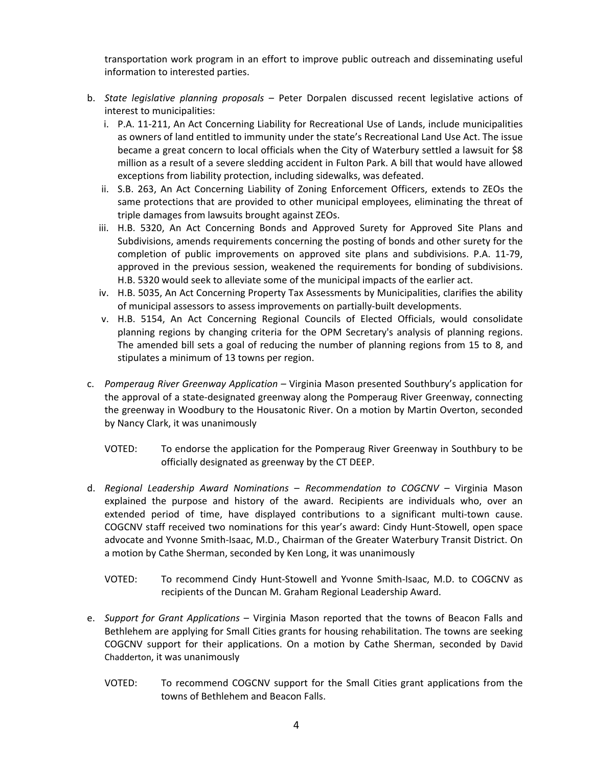transportation work program in an effort to improve public outreach and disseminating useful information to interested parties.

- b. *State legislative planning proposals –* Peter Dorpalen discussed recent legislative actions of interest to municipalities:
	- i. P.A. 11‐211, An Act Concerning Liability for Recreational Use of Lands, include municipalities as owners of land entitled to immunity under the state's Recreational Land Use Act. The issue became a great concern to local officials when the City of Waterbury settled a lawsuit for \$8 million as a result of a severe sledding accident in Fulton Park. A bill that would have allowed exceptions from liability protection, including sidewalks, was defeated.
	- ii. S.B. 263, An Act Concerning Liability of Zoning Enforcement Officers, extends to ZEOs the same protections that are provided to other municipal employees, eliminating the threat of triple damages from lawsuits brought against ZEOs.
	- iii. H.B. 5320, An Act Concerning Bonds and Approved Surety for Approved Site Plans and Subdivisions, amends requirements concerning the posting of bonds and other surety for the completion of public improvements on approved site plans and subdivisions. P.A. 11‐79, approved in the previous session, weakened the requirements for bonding of subdivisions. H.B. 5320 would seek to alleviate some of the municipal impacts of the earlier act.
	- iv. H.B. 5035, An Act Concerning Property Tax Assessments by Municipalities, clarifies the ability of municipal assessors to assess improvements on partially‐built developments.
	- v. H.B. 5154, An Act Concerning Regional Councils of Elected Officials, would consolidate planning regions by changing criteria for the OPM Secretary's analysis of planning regions. The amended bill sets a goal of reducing the number of planning regions from 15 to 8, and stipulates a minimum of 13 towns per region.
- c. *Pomperaug River Greenway Application –* Virginia Mason presented Southbury's application for the approval of a state-designated greenway along the Pomperaug River Greenway, connecting the greenway in Woodbury to the Housatonic River. On a motion by Martin Overton, seconded by Nancy Clark, it was unanimously
	- VOTED: To endorse the application for the Pomperaug River Greenway in Southbury to be officially designated as greenway by the CT DEEP.
- d. *Regional Leadership Award Nominations – Recommendation to COGCNV –* Virginia Mason explained the purpose and history of the award. Recipients are individuals who, over an extended period of time, have displayed contributions to a significant multi-town cause. COGCNV staff received two nominations for this year's award: Cindy Hunt‐Stowell, open space advocate and Yvonne Smith‐Isaac, M.D., Chairman of the Greater Waterbury Transit District. On a motion by Cathe Sherman, seconded by Ken Long, it was unanimously
	- VOTED: To recommend Cindy Hunt‐Stowell and Yvonne Smith‐Isaac, M.D. to COGCNV as recipients of the Duncan M. Graham Regional Leadership Award.
- e. *Support for Grant Applications –* Virginia Mason reported that the towns of Beacon Falls and Bethlehem are applying for Small Cities grants for housing rehabilitation. The towns are seeking COGCNV support for their applications. On a motion by Cathe Sherman, seconded by David Chadderton, it was unanimously
	- VOTED: To recommend COGCNV support for the Small Cities grant applications from the towns of Bethlehem and Beacon Falls.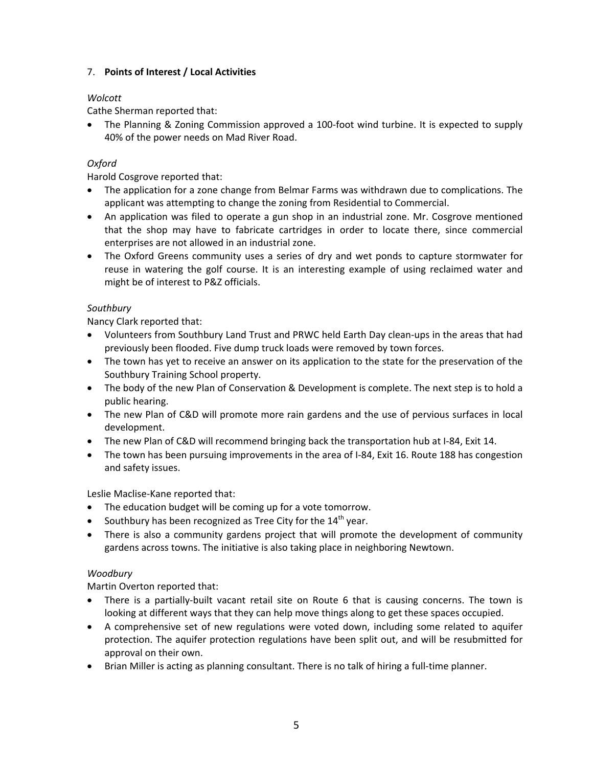# 7. **Points of Interest / Local Activities**

# *Wolcott*

Cathe Sherman reported that:

■ The Planning & Zoning Commission approved a 100-foot wind turbine. It is expected to supply 40% of the power needs on Mad River Road.

# *Oxford*

Harold Cosgrove reported that:

- The application for a zone change from Belmar Farms was withdrawn due to complications. The applicant was attempting to change the zoning from Residential to Commercial.
- An application was filed to operate a gun shop in an industrial zone. Mr. Cosgrove mentioned that the shop may have to fabricate cartridges in order to locate there, since commercial enterprises are not allowed in an industrial zone.
- The Oxford Greens community uses a series of dry and wet ponds to capture stormwater for reuse in watering the golf course. It is an interesting example of using reclaimed water and might be of interest to P&Z officials.

# *Southbury*

Nancy Clark reported that:

- Volunteers from Southbury Land Trust and PRWC held Earth Day clean-ups in the areas that had previously been flooded. Five dump truck loads were removed by town forces.
- The town has yet to receive an answer on its application to the state for the preservation of the Southbury Training School property.
- The body of the new Plan of Conservation & Development is complete. The next step is to hold a public hearing.
- The new Plan of C&D will promote more rain gardens and the use of pervious surfaces in local development.
- The new Plan of C&D will recommend bringing back the transportation hub at I‐84, Exit 14.
- The town has been pursuing improvements in the area of I-84, Exit 16. Route 188 has congestion and safety issues.

Leslie Maclise‐Kane reported that:

- The education budget will be coming up for a vote tomorrow.
- Southbury has been recognized as Tree City for the  $14<sup>th</sup>$  year.
- There is also a community gardens project that will promote the development of community gardens across towns. The initiative is also taking place in neighboring Newtown.

# *Woodbury*

Martin Overton reported that:

- There is a partially-built vacant retail site on Route 6 that is causing concerns. The town is looking at different ways that they can help move things along to get these spaces occupied.
- A comprehensive set of new regulations were voted down, including some related to aquifer protection. The aquifer protection regulations have been split out, and will be resubmitted for approval on their own.
- Brian Miller is acting as planning consultant. There is no talk of hiring a full-time planner.